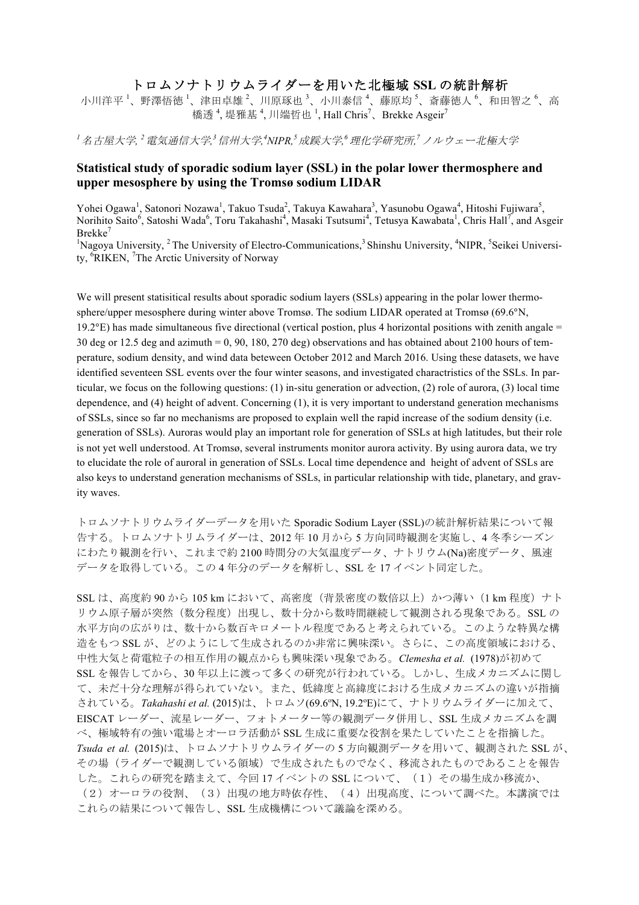## トロムソナトリウムライダーを用いた北極域 **SSL** の統計解析

小川洋平 '、野澤悟徳 '、津田卓雄 <sup>2</sup>、川原琢也 <sup>3</sup>、小川泰信 <sup>4</sup>、藤原均 <sup>5</sup>、斎藤徳人 <sup>6</sup>、和田智之 <sup>6</sup>、高 橋透<sup>4</sup>,堤雅基<sup>4</sup>,川端哲也<sup>1</sup>,Hall Chris<sup>7</sup>、Brekke Asgeir<sup>7</sup>

 $^{\text{I}}$ 名古屋大学, <sup>2</sup> 電気通信大学, <sup>3</sup>信州大学, <sup>4</sup>NIPR, 5 成蹊大学, <sup>6</sup> 理化学研究所, <sup>7</sup>ノルウェー北極大学

## **Statistical study of sporadic sodium layer (SSL) in the polar lower thermosphere and upper mesosphere by using the Tromsø sodium LIDAR**

Yohei Ogawa<sup>1</sup>, Satonori Nozawa<sup>1</sup>, Takuo Tsuda<sup>2</sup>, Takuya Kawahara<sup>3</sup>, Yasunobu Ogawa<sup>4</sup>, Hitoshi Fujiwara<sup>5</sup>, Norihito Saito<sup>6</sup>, Satoshi Wada<sup>6</sup>, Toru Takahashi<sup>4</sup>, Masaki Tsutsumi<sup>4</sup>, Tetusya Kawabata<sup>1</sup>, Chris Hall<sup>7</sup>, and Asgeir  $B$ rekke<sup>7</sup>

<sup>1</sup>Nagoya University, <sup>2</sup> The University of Electro-Communications,<sup>3</sup> Shinshu University, <sup>4</sup>NIPR, <sup>5</sup>Seikei University, <sup>6</sup>RIKEN, <sup>7</sup>The Arctic University of Norway

We will present statisitical results about sporadic sodium layers (SSLs) appearing in the polar lower thermosphere/upper mesosphere during winter above Tromsø. The sodium LIDAR operated at Tromsø (69.6°N, 19.2°E) has made simultaneous five directional (vertical postion, plus 4 horizontal positions with zenith angale  $=$ 30 deg or 12.5 deg and azimuth = 0, 90, 180, 270 deg) observations and has obtained about 2100 hours of temperature, sodium density, and wind data beteween October 2012 and March 2016. Using these datasets, we have identified seventeen SSL events over the four winter seasons, and investigated charactristics of the SSLs. In particular, we focus on the following questions: (1) in-situ generation or advection, (2) role of aurora, (3) local time dependence, and (4) height of advent. Concerning (1), it is very important to understand generation mechanisms of SSLs, since so far no mechanisms are proposed to explain well the rapid increase of the sodium density (i.e. generation of SSLs). Auroras would play an important role for generation of SSLs at high latitudes, but their role is not yet well understood. At Tromsø, several instruments monitor aurora activity. By using aurora data, we try to elucidate the role of auroral in generation of SSLs. Local time dependence and height of advent of SSLs are also keys to understand generation mechanisms of SSLs, in particular relationship with tide, planetary, and gravity waves.

トロムソナトリウムライダーデータを用いた Sporadic Sodium Layer (SSL)の統計解析結果について報 告する。トロムソナトリムライダーは、2012 年 10 月から 5 方向同時観測を実施し、4 冬季シーズン にわたり観測を行い、これまで約 2100 時間分の大気温度データ、ナトリウム(Na)密度データ、風速 データを取得している。この 4 年分のデータを解析し、SSL を 17 イベント同定した。

SSL は、高度約 90 から 105 km において、高密度(背景密度の数倍以上)かつ薄い (1 km 程度) ナト リウム原子層が突然(数分程度)出現し、数十分から数時間継続して観測される現象である。SSLの 水平方向の広がりは、数十から数百キロメートル程度であると考えられている。このような特異な構 㐀をもつ SSL が、どのようにして生成されるのか非常に興味深い。さらに、この高度領域における、 中性大気と荷電粒子の相互作用の観点からも興味深い現象である。*Clemesha et al.* (1978)が初めて SSL を報告してから、30 年以上に渡って多くの研究が行われている。しかし、生成メカニズムに関し て、未だ十分な理解が得られていない。また、低緯度と高緯度における生成メカニズムの違いが指摘 されている。*Takahashi et al.* (2015)は、トロムソ(69.6ºN, 19.2ºE)にて、ナトリウムライダーに加えて、 EISCAT レーダー、流星レーダー、フォトメーター等の観測データ併用し、SSL 生成メカニズムを調 べ、極域特有の強い電場とオーロラ活動が SSL 生成に重要な役割を果たしていたことを指摘した。 *Tsuda et al.* (2015)は、トロムソナトリウムライダーの 5 方向観測データを用いて、観測された SSL が、 その場(ライダーで観測している領域)で生成されたものでなく、移流されたものであることを報告 した。これらの研究を踏まえて、今回17 イベントの SSL について、(1) その場生成か移流か、 (2)オーロラの役割、(3)出現の地方時依存性、(4)出現高度、について調べた。本講演では これらの結果について報告し、SSL 生成機構について議論を深める。